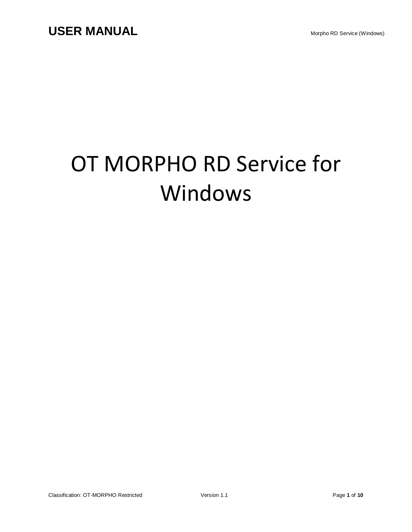# OT MORPHO RD Service for Windows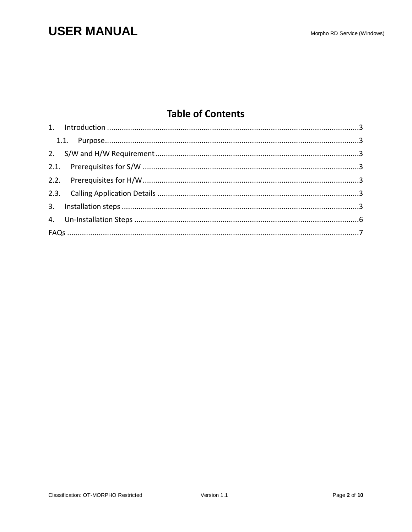# **USER MANUAL**

### **Table of Contents**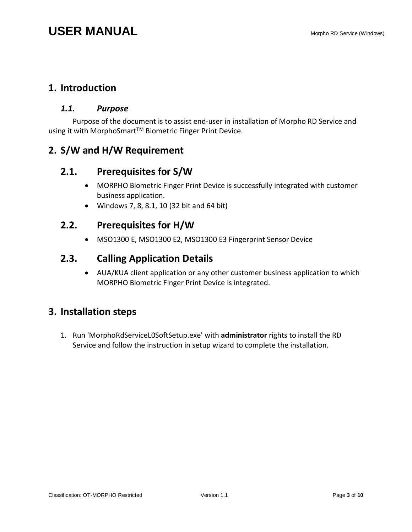### <span id="page-2-1"></span><span id="page-2-0"></span>**1. Introduction**

#### *1.1. Purpose*

Purpose of the document is to assist end-user in installation of Morpho RD Service and using it with MorphoSmart<sup>™</sup> Biometric Finger Print Device.

### <span id="page-2-3"></span><span id="page-2-2"></span>**2. S/W and H/W Requirement**

### **2.1. Prerequisites for S/W**

- MORPHO Biometric Finger Print Device is successfully integrated with customer business application.
- Windows 7, 8, 8.1, 10 (32 bit and 64 bit)

### <span id="page-2-4"></span>**2.2. Prerequisites for H/W**

MSO1300 E, MSO1300 E2, MSO1300 E3 Fingerprint Sensor Device

### <span id="page-2-5"></span>**2.3. Calling Application Details**

 AUA/KUA client application or any other customer business application to which MORPHO Biometric Finger Print Device is integrated.

### <span id="page-2-6"></span>**3. Installation steps**

1. Run 'MorphoRdServiceL0SoftSetup.exe' with **administrator** rights to install the RD Service and follow the instruction in setup wizard to complete the installation.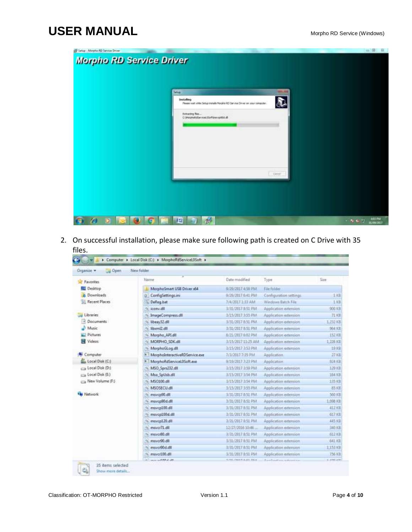# **USER MANUAL** Morpho RD Service (Windows)

| Setup - Morpho RD Service Driver |                                                                                                                                                                   | $\circledcirc$<br>$\mathbf{u}$ |
|----------------------------------|-------------------------------------------------------------------------------------------------------------------------------------------------------------------|--------------------------------|
| <b>Morpho RD Service Driver</b>  |                                                                                                                                                                   |                                |
|                                  | Setup:                                                                                                                                                            |                                |
|                                  | <b>Installing</b><br>D<br>Please yeart while Setup installs Norphs RD Service Driver on your computer.<br>Extracting Res<br>C:/MarphaRdSanviceL0Softtpsv:p/Ab5.dR |                                |
|                                  | Dave,                                                                                                                                                             |                                |
|                                  | 冔<br>E)                                                                                                                                                           | 402 PM<br>$-10.001$            |

2. On successful installation, please make sure following path is created on C Drive with 35 files.

| Cipen<br>Organize -    | New folder                          |                           |                         |               |
|------------------------|-------------------------------------|---------------------------|-------------------------|---------------|
| <b>Favorites</b>       | Name                                | Date modified             | Type                    | Size          |
| Desktop                | MorphoSmart USB Driver i64          | 9/29/2017 4:58 PM         | File folder             |               |
| Downloads              | ConfigSettings.ini                  | 9/29/2017 6:41 PM         | Configuration settings. | 1.108         |
| Recent Places          | DeReg.bat                           | 7/4/2017 133 AM           | Windows Batch File      | 1.101         |
|                        | % iconv.dll                         | 3/31/2017 8:51 PM         | Application edension    | <b>900 KB</b> |
| Libraries              | ImageCompress.dll                   | 3/15/2017 3:55 PM         | Application edension    | 开启            |
| <b>Documents</b>       | libeay32.dll                        | 3/31/2017 8:51 PM.        | Application edension    | 1.232 KB      |
| Music                  | <b>We filternized the</b>           | 3/31/2017 8:51 PM         | Application edemicn     | 964 KB        |
| <b>Pictures</b>        | Marpho API.dll<br>w                 | 8/21/2017 6:02 PM         | Application edension    | 152 68        |
| <b>N</b> Videos        | MORPHO_SDK.dll                      | 3/15/2017 11:25 AM        | Application extension   | 1.236 KB      |
|                        | MarphoGLog.dll                      | 3/15/2017 1:53 PM         | Application edention    | 19照           |
| Computer               | MorphoInteractiveRDService.exe<br>旗 | T/3/2017 7-35 PM          | Application             | 27 KH         |
| Local Disk (C:)        | MorphoRdServiceL0Soft.exe<br>u.     | 8/19/2017 7:23 PM         | Application             | 024 (0)       |
| car Local Disk (D.)    | MSO Sprs232.dll<br>佩                | 3/15/2017 3:59 PM         | Application edention    | 129 KB        |
| (E) Local Disk (E)     | Mso SpUsb.dll                       | 3/15/2017 3:54 PM         | Application extension   | 164 KB        |
| <b>New Volume (Fd)</b> | MS0100.dll<br>働                     | 3/15/2017 3:54 PM         | Application edamich.    | 135 KB        |
|                        | <b>MSOSECU.dll</b><br>n.            | 3/15/2017 3:55 PM         | Application edemicn     | 85 KB         |
| Network                | msvcp90.dll<br>w                    | 3/31/2017 8:51 PM         | Application edension    | 560 HB        |
|                        | <sup>1</sup> 0 msvcp90d.dll         | 3/31/2017 8:51 PM         | Application externion   | 1.098 Kill    |
|                        | to msvcp100.dll                     | 3/31/2017 8:51 PM         | Application edention    | 412 KB        |
|                        | msvcp100d.dll                       | 3/31/2017 8:51 PM         | Application extension   | 617 KB        |
|                        | <sup>4</sup> msvcp120.dll           | 3/31/2017 8:51 PM         | Application edension    | <b>445 HB</b> |
|                        | $\approx$ msvcr71.dif               | 12/27/2016 10:45          | Application extension   | 340 KB        |
|                        | % msvc/80.dll                       | 3/31/2017 0:51 PM         | Application edencion    | 612 KB        |
|                        | % msycr90.dll                       | 3/31/2017 0:51 PM         | Application edention    | 641 KB        |
|                        | to mayor90d.dll                     | 3/31/2017 8:51 PM         | Application extension   | 1,153,636     |
|                        | msvcr100.dll                        | 3/31/2017 0:51 PM         | Application edention    | 756 KB        |
|                        | <b>SAN LAR</b>                      | NAME PARKER OF REAL PARK. |                         | 81.6790.6199. |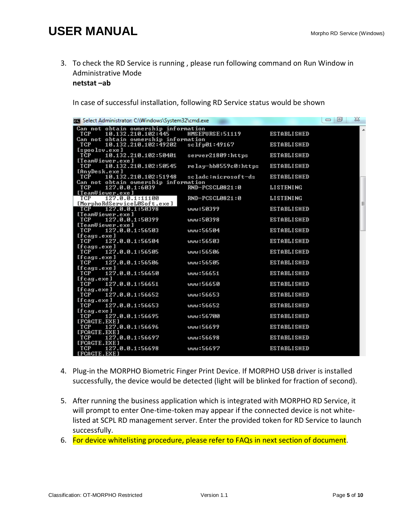# **USER MANUAL** Manual **Manual Property Constructs** Morpho RD Service (Windows)

3. To check the RD Service is running , please run following command on Run Window in Administrative Mode

**netstat –ab** 

In case of successful installation, following RD Service status would be shown

| <b>EXI</b> Select Administrator: C:\Windows\System32\cmd.exe                                             |                      |                    | X<br>回<br>$\qquad \qquad \Box$ |
|----------------------------------------------------------------------------------------------------------|----------------------|--------------------|--------------------------------|
| Can not obtain ownership information<br>TCP<br>10.132.210.102:445                                        | HMSEPURSE:51119      | <b>ESTABLISHED</b> |                                |
| Can not obtain ownership information<br>$10.132.210.102:49202 \quad \text{sc}1f \text{p}01:49167$<br>TCP |                      | <b>ESTABLISHED</b> |                                |
| [spoolsv.exe]<br>10.132.210.102:50401<br><b>TCP</b>                                                      | server21809:https    | <b>ESTABLISHED</b> |                                |
| [TeamUiewer.exe]<br>TCP<br>10.132.210.102:50545                                                          | relay-bb8559c0:https | <b>ESTABLISHED</b> |                                |
| [AnyDesk.exe]<br>TCP<br>10.132.210.102:51948                                                             | sclade:microsoft-ds  | <b>ESTABLISHED</b> |                                |
| Can not obtain ownership information<br>127.0.0.1:6039<br><b>TCP</b><br>[TeamUiewer.exe]                 | RND-PCSCL0821:0      | <b>LISTENING</b>   |                                |
| 127.0.0.1:11100<br>TCP<br>[MorphoRdServiceL0Soft.exe]                                                    | RND-PCSCL0821:0      | <b>LISTENING</b>   | Ξ                              |
| TCP<br>127.0.0.1:50398<br>[TeamUiewer.exe]                                                               | www:50399            | <b>ESTABLISHED</b> |                                |
| TCP<br>127.0.0.1:50399<br>[TeamUiewer.exe]                                                               | www:50398            | <b>ESTABLISHED</b> |                                |
| TCP<br>$127.0.0.\overline{1:}56503$<br>[fcags.exe]                                                       | www:56504            | <b>ESTABLISHED</b> |                                |
| 127.0.0.1:56504<br><b>TCP</b><br>[fcags.exe]                                                             | աաս:56503            | <b>ESTABLISHED</b> |                                |
| 127.0.0.1:56505<br>TCP<br>[fcags.exe]                                                                    | www:56506            | <b>ESTABLISHED</b> |                                |
| 127.0.0.1:56506<br><b>TCP</b><br>[fcags.exe]                                                             | www:56505            | <b>ESTABLISHED</b> |                                |
| 127.0.0.1:56650<br><b>TCP</b><br>[fcag.exe]                                                              | www:56651            | <b>ESTABLISHED</b> |                                |
| 127.0.0.1:56651<br>TCP <sup>-</sup><br>[fcag.exe]                                                        | พพพะ56650            | <b>ESTABLISHED</b> |                                |
| <b>TCP</b><br>127.0.0.1:56652<br>[fcag.exe]                                                              | www:56653            | <b>ESTABLISHED</b> |                                |
| <b>TCP</b><br>127.0.0.1:56653<br>[fcag.exe]                                                              | พพพะ56652            | <b>ESTABLISHED</b> |                                |
| 127.0.0.1:56695<br>TCP<br>[FCAGTE.EXE]                                                                   | www:56700            | <b>ESTABLISHED</b> |                                |
| TCP<br>127.0.0.1:56696<br>[FCAGTE.EXE]                                                                   | www:56699            | <b>ESTABLISHED</b> |                                |
| TCP<br>127.0.0.1:56697<br><b>IFCAGTE.EXEI</b>                                                            | พพพะ56698            | <b>ESTABLISHED</b> |                                |
| TCP<br>127.0.0.1:56698<br>[FCAGTE.EXE]                                                                   | www:56697            | <b>ESTABLISHED</b> |                                |

- 4. Plug-in the MORPHO Biometric Finger Print Device. If MORPHO USB driver is installed successfully, the device would be detected (light will be blinked for fraction of second).
- 5. After running the business application which is integrated with MORPHO RD Service, it will prompt to enter One-time-token may appear if the connected device is not whitelisted at SCPL RD management server. Enter the provided token for RD Service to launch successfully.
- 6. For device whitelisting procedure, please refer to FAQs in next section of document.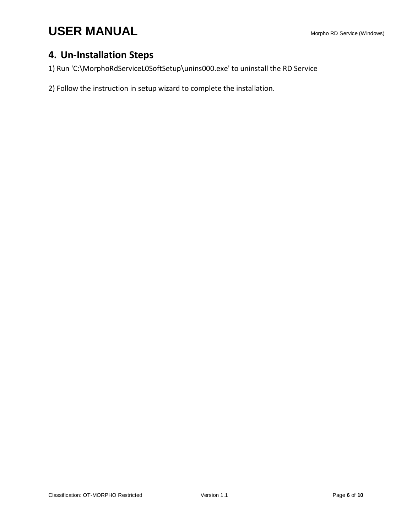### <span id="page-5-0"></span>**4. Un-Installation Steps**

1) Run 'C:\MorphoRdServiceL0SoftSetup\unins000.exe' to uninstall the RD Service

2) Follow the instruction in setup wizard to complete the installation.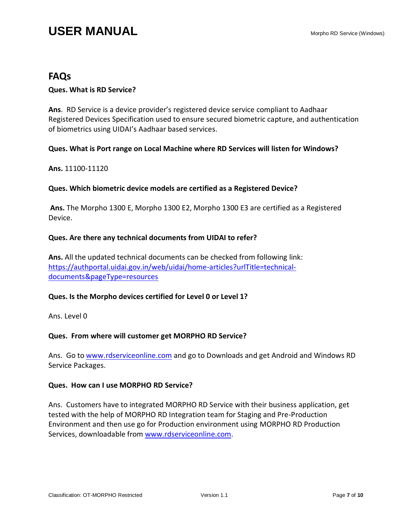### <span id="page-6-0"></span>**FAQs**

#### **Ques. What is RD Service?**

**Ans**. RD Service is a device provider's registered device service compliant to Aadhaar Registered Devices Specification used to ensure secured biometric capture, and authentication of biometrics using UIDAI's Aadhaar based services.

#### **Ques. What is Port range on Local Machine where RD Services will listen for Windows?**

**Ans.** 11100-11120

#### **Ques. Which biometric device models are certified as a Registered Device?**

**Ans.** The Morpho 1300 E, Morpho 1300 E2, Morpho 1300 E3 are certified as a Registered Device.

#### **Ques. Are there any technical documents from UIDAI to refer?**

**Ans.** All the updated technical documents can be checked from following link: [https://authportal.uidai.gov.in/web/uidai/home-articles?urlTitle=technical](https://authportal.uidai.gov.in/web/uidai/home-articles?urlTitle=technical-documents&pageType=resources)[documents&pageType=resources](https://authportal.uidai.gov.in/web/uidai/home-articles?urlTitle=technical-documents&pageType=resources)

#### **Ques. Is the Morpho devices certified for Level 0 or Level 1?**

Ans. Level 0

#### **Ques. From where will customer get MORPHO RD Service?**

Ans. Go to [www.rdserviceonline.com](http://www.rdserviceonline.com/) and go to Downloads and get Android and Windows RD Service Packages.

#### **Ques. How can I use MORPHO RD Service?**

Ans. Customers have to integrated MORPHO RD Service with their business application, get tested with the help of MORPHO RD Integration team for Staging and Pre-Production Environment and then use go for Production environment using MORPHO RD Production Services, downloadable from [www.rdserviceonline.com.](http://www.rdserviceonline.com/)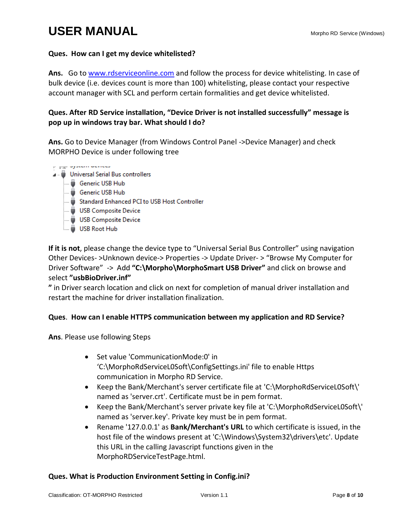#### **Ques. How can I get my device whitelisted?**

**Ans.** Go to [www.rdserviceonline.com](http://www.rdserviceonline.com/) and follow the process for device whitelisting. In case of bulk device (i.e. devices count is more than 100) whitelisting, please contact your respective account manager with SCL and perform certain formalities and get device whitelisted.

#### **Ques. After RD Service installation, "Device Driver is not installed successfully" message is pop up in windows tray bar. What should I do?**

**Ans.** Go to Device Manager (from Windows Control Panel ->Device Manager) and check MORPHO Device is under following tree

- *Figure System acreed*
- J. Universal Serial Bus controllers
	- Generic USB Hub
	- Generic USB Hub
	- Standard Enhanced PCI to USB Host Controller
	- USB Composite Device
	- USB Composite Device
	- **USB Root Hub**

**If it is not**, please change the device type to "Universal Serial Bus Controller" using navigation Other Devices- >Unknown device-> Properties -> Update Driver- > "Browse My Computer for Driver Software" -> Add **"C:\Morpho\MorphoSmart USB Driver"** and click on browse and select **"usbBioDriver.inf"**

**"** in Driver search location and click on next for completion of manual driver installation and restart the machine for driver installation finalization.

#### **Ques**. **How can I enable HTTPS communication between my application and RD Service?**

**Ans**. Please use following Steps

- Set value 'CommunicationMode:0' in 'C:\MorphoRdServiceL0Soft\ConfigSettings.ini' file to enable Https communication in Morpho RD Service.
- Keep the Bank/Merchant's server certificate file at 'C:\MorphoRdServiceL0Soft\' named as 'server.crt'. Certificate must be in pem format.
- Keep the Bank/Merchant's server private key file at 'C:\MorphoRdServiceL0Soft\' named as 'server.key'. Private key must be in pem format.
- Rename '127.0.0.1' as **Bank/Merchant's URL** to which certificate is issued, in the host file of the windows present at 'C:\Windows\System32\drivers\etc'. Update this URL in the calling Javascript functions given in the MorphoRDServiceTestPage.html.

#### **Ques. What is Production Environment Setting in Config.ini?**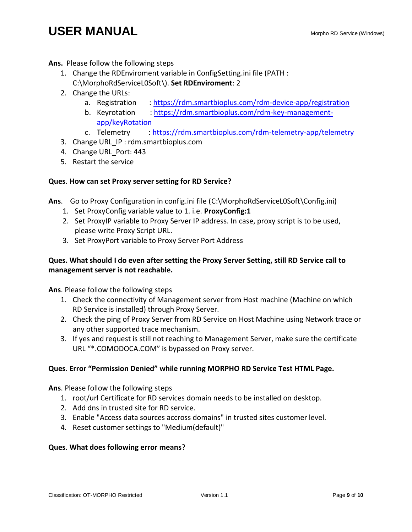## **USER MANUAL** Manual **Manual Property Constructs** Morpho RD Service (Windows)

**Ans.** Please follow the following steps

- 1. Change the RDEnviroment variable in ConfigSetting.ini file (PATH : C:\MorphoRdServiceL0Soft\). **Set RDEnviroment**: 2
- 2. Change the URLs:
	- a. Registration :<https://rdm.smartbioplus.com/rdm-device-app/registration>
	- b. Keyrotation : [https://rdm.smartbioplus.com/rdm-key-management](https://rdm.smartbioplus.com/rdm-key-management-app/keyRotation)[app/keyRotation](https://rdm.smartbioplus.com/rdm-key-management-app/keyRotation)
	- c. Telemetry :<https://rdm.smartbioplus.com/rdm-telemetry-app/telemetry>
- 3. Change URL\_IP : rdm.smartbioplus.com
- 4. Change URL Port: 443
- 5. Restart the service

#### **Ques**. **How can set Proxy server setting for RD Service?**

**Ans**. Go to Proxy Configuration in config.ini file (C:\MorphoRdServiceL0Soft\Config.ini)

- 1. Set ProxyConfig variable value to 1. i.e. **ProxyConfig:1**
- 2. Set ProxyIP variable to Proxy Server IP address. In case, proxy script is to be used, please write Proxy Script URL.
- 3. Set ProxyPort variable to Proxy Server Port Address

#### **Ques. What should I do even after setting the Proxy Server Setting, still RD Service call to management server is not reachable.**

**Ans**. Please follow the following steps

- 1. Check the connectivity of Management server from Host machine (Machine on which RD Service is installed) through Proxy Server.
- 2. Check the ping of Proxy Server from RD Service on Host Machine using Network trace or any other supported trace mechanism.
- 3. If yes and request is still not reaching to Management Server, make sure the certificate URL "\*.COMODOCA.COM" is bypassed on Proxy server.

#### **Ques**. **Error "Permission Denied" while running MORPHO RD Service Test HTML Page.**

**Ans**. Please follow the following steps

- 1. root/url Certificate for RD services domain needs to be installed on desktop.
- 2. Add dns in trusted site for RD service.
- 3. Enable "Access data sources accross domains" in trusted sites customer level.
- 4. Reset customer settings to "Medium(default)"

#### **Ques**. **What does following error means**?